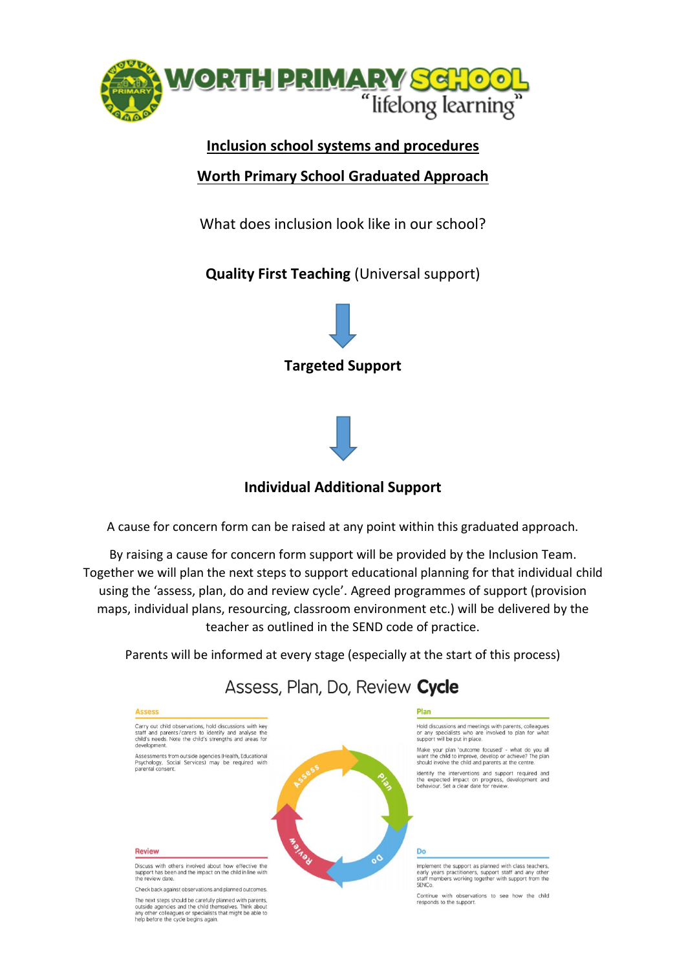

### **Inclusion school systems and procedures**

#### **Worth Primary School Graduated Approach**

What does inclusion look like in our school?

**Quality First Teaching** (Universal support)





## **Individual Additional Support**

A cause for concern form can be raised at any point within this graduated approach.

By raising a cause for concern form support will be provided by the Inclusion Team. Together we will plan the next steps to support educational planning for that individual child using the 'assess, plan, do and review cycle'. Agreed programmes of support (provision maps, individual plans, resourcing, classroom environment etc.) will be delivered by the teacher as outlined in the SEND code of practice.

Parents will be informed at every stage (especially at the start of this process)

# Assess, Plan, Do, Review Cycle

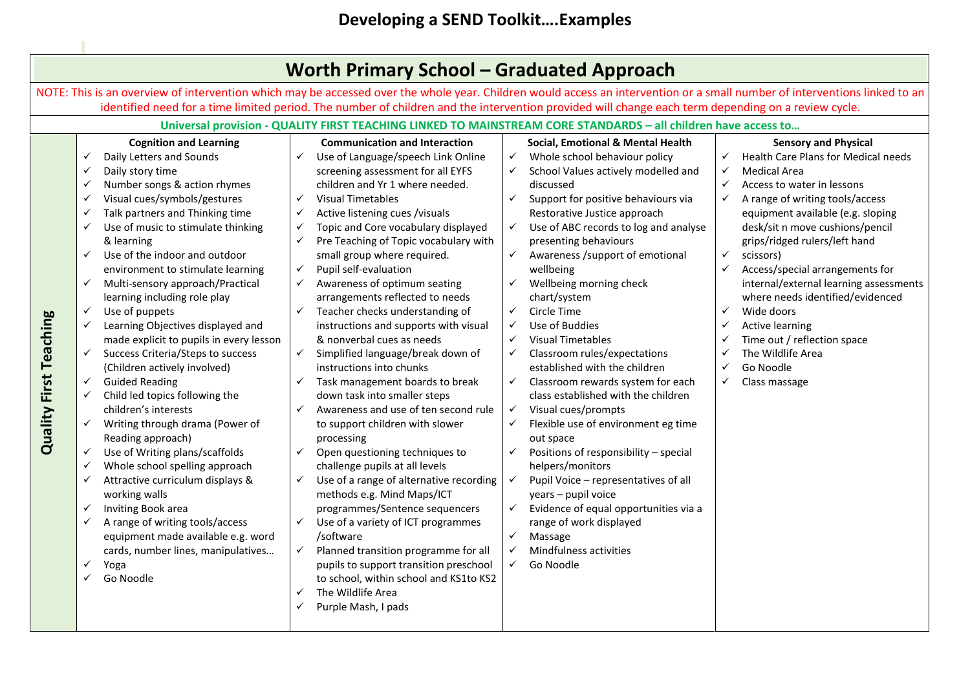|                               |                                                                                                                                                                                                                                                                                                                                                                                                                                                                                                                                                                                                                                                                                                                                                                                                                                                                                                                                                                                                                                                                                                    | <b>Worth Primary School - Graduated Approach</b>                                                                                                                                                                                                                                                                                                                                                                                                                                                                                                                                                                                                                                                                                                                                                                                                                                                                                                                                                                                                                                                                                                                                                                                                                                                                                                   |                                                                                                                                                                                                                                                                                                                                                                                                                                                                                                                                                                                                                                                                                                                                                                                                                                                                                                                                                                                                                                                                                                                                                                                             |                                                                                                                                                                                                                                                                                                                                                                                                                                                                                                                                                                                                                                                                      |
|-------------------------------|----------------------------------------------------------------------------------------------------------------------------------------------------------------------------------------------------------------------------------------------------------------------------------------------------------------------------------------------------------------------------------------------------------------------------------------------------------------------------------------------------------------------------------------------------------------------------------------------------------------------------------------------------------------------------------------------------------------------------------------------------------------------------------------------------------------------------------------------------------------------------------------------------------------------------------------------------------------------------------------------------------------------------------------------------------------------------------------------------|----------------------------------------------------------------------------------------------------------------------------------------------------------------------------------------------------------------------------------------------------------------------------------------------------------------------------------------------------------------------------------------------------------------------------------------------------------------------------------------------------------------------------------------------------------------------------------------------------------------------------------------------------------------------------------------------------------------------------------------------------------------------------------------------------------------------------------------------------------------------------------------------------------------------------------------------------------------------------------------------------------------------------------------------------------------------------------------------------------------------------------------------------------------------------------------------------------------------------------------------------------------------------------------------------------------------------------------------------|---------------------------------------------------------------------------------------------------------------------------------------------------------------------------------------------------------------------------------------------------------------------------------------------------------------------------------------------------------------------------------------------------------------------------------------------------------------------------------------------------------------------------------------------------------------------------------------------------------------------------------------------------------------------------------------------------------------------------------------------------------------------------------------------------------------------------------------------------------------------------------------------------------------------------------------------------------------------------------------------------------------------------------------------------------------------------------------------------------------------------------------------------------------------------------------------|----------------------------------------------------------------------------------------------------------------------------------------------------------------------------------------------------------------------------------------------------------------------------------------------------------------------------------------------------------------------------------------------------------------------------------------------------------------------------------------------------------------------------------------------------------------------------------------------------------------------------------------------------------------------|
|                               |                                                                                                                                                                                                                                                                                                                                                                                                                                                                                                                                                                                                                                                                                                                                                                                                                                                                                                                                                                                                                                                                                                    |                                                                                                                                                                                                                                                                                                                                                                                                                                                                                                                                                                                                                                                                                                                                                                                                                                                                                                                                                                                                                                                                                                                                                                                                                                                                                                                                                    |                                                                                                                                                                                                                                                                                                                                                                                                                                                                                                                                                                                                                                                                                                                                                                                                                                                                                                                                                                                                                                                                                                                                                                                             | NOTE: This is an overview of intervention which may be accessed over the whole year. Children would access an intervention or a small number of interventions linked to an                                                                                                                                                                                                                                                                                                                                                                                                                                                                                           |
|                               |                                                                                                                                                                                                                                                                                                                                                                                                                                                                                                                                                                                                                                                                                                                                                                                                                                                                                                                                                                                                                                                                                                    |                                                                                                                                                                                                                                                                                                                                                                                                                                                                                                                                                                                                                                                                                                                                                                                                                                                                                                                                                                                                                                                                                                                                                                                                                                                                                                                                                    | identified need for a time limited period. The number of children and the intervention provided will change each term depending on a review cycle.                                                                                                                                                                                                                                                                                                                                                                                                                                                                                                                                                                                                                                                                                                                                                                                                                                                                                                                                                                                                                                          |                                                                                                                                                                                                                                                                                                                                                                                                                                                                                                                                                                                                                                                                      |
|                               |                                                                                                                                                                                                                                                                                                                                                                                                                                                                                                                                                                                                                                                                                                                                                                                                                                                                                                                                                                                                                                                                                                    |                                                                                                                                                                                                                                                                                                                                                                                                                                                                                                                                                                                                                                                                                                                                                                                                                                                                                                                                                                                                                                                                                                                                                                                                                                                                                                                                                    | Universal provision - QUALITY FIRST TEACHING LINKED TO MAINSTREAM CORE STANDARDS - all children have access to                                                                                                                                                                                                                                                                                                                                                                                                                                                                                                                                                                                                                                                                                                                                                                                                                                                                                                                                                                                                                                                                              |                                                                                                                                                                                                                                                                                                                                                                                                                                                                                                                                                                                                                                                                      |
| <b>Quality First Teaching</b> | <b>Cognition and Learning</b><br>Daily Letters and Sounds<br>✓<br>Daily story time<br>✓<br>Number songs & action rhymes<br>✓<br>Visual cues/symbols/gestures<br>✓<br>Talk partners and Thinking time<br>✓<br>Use of music to stimulate thinking<br>✓<br>& learning<br>Use of the indoor and outdoor<br>✓<br>environment to stimulate learning<br>Multi-sensory approach/Practical<br>✓<br>learning including role play<br>Use of puppets<br>$\checkmark$<br>Learning Objectives displayed and<br>✓<br>made explicit to pupils in every lesson<br>Success Criteria/Steps to success<br>✓<br>(Children actively involved)<br><b>Guided Reading</b><br>✓<br>Child led topics following the<br>✓<br>children's interests<br>Writing through drama (Power of<br>✓<br>Reading approach)<br>Use of Writing plans/scaffolds<br>✓<br>Whole school spelling approach<br>✓<br>Attractive curriculum displays &<br>✓<br>working walls<br>Inviting Book area<br>✓<br>A range of writing tools/access<br>✓<br>equipment made available e.g. word<br>cards, number lines, manipulatives<br>✓<br>Yoga<br>Go Noodle | <b>Communication and Interaction</b><br>$\checkmark$<br>Use of Language/speech Link Online<br>screening assessment for all EYFS<br>children and Yr 1 where needed.<br>✓<br><b>Visual Timetables</b><br>Active listening cues /visuals<br>✓<br>Topic and Core vocabulary displayed<br>✓<br>Pre Teaching of Topic vocabulary with<br>✓<br>small group where required.<br>Pupil self-evaluation<br>$\checkmark$<br>Awareness of optimum seating<br>$\checkmark$<br>arrangements reflected to needs<br>$\checkmark$<br>Teacher checks understanding of<br>instructions and supports with visual<br>& nonverbal cues as needs<br>$\checkmark$<br>Simplified language/break down of<br>instructions into chunks<br>Task management boards to break<br>✓<br>down task into smaller steps<br>Awareness and use of ten second rule<br>$\checkmark$<br>to support children with slower<br>processing<br>$\checkmark$<br>Open questioning techniques to<br>challenge pupils at all levels<br>Use of a range of alternative recording<br>$\checkmark$<br>methods e.g. Mind Maps/ICT<br>programmes/Sentence sequencers<br>Use of a variety of ICT programmes<br>$\checkmark$<br>/software<br>Planned transition programme for all<br>$\checkmark$<br>pupils to support transition preschool<br>to school, within school and KS1to KS2<br>The Wildlife Area<br>✓ | Social, Emotional & Mental Health<br>Whole school behaviour policy<br>$\checkmark$<br>School Values actively modelled and<br>$\checkmark$<br>discussed<br>$\checkmark$<br>Support for positive behaviours via<br>Restorative Justice approach<br>Use of ABC records to log and analyse<br>$\checkmark$<br>presenting behaviours<br>$\checkmark$<br>Awareness /support of emotional<br>wellbeing<br>Wellbeing morning check<br>$\checkmark$<br>chart/system<br>$\checkmark$<br>Circle Time<br>Use of Buddies<br>$\checkmark$<br><b>Visual Timetables</b><br>$\checkmark$<br>Classroom rules/expectations<br>$\checkmark$<br>established with the children<br>Classroom rewards system for each<br>$\checkmark$<br>class established with the children<br>Visual cues/prompts<br>✓<br>Flexible use of environment eg time<br>$\checkmark$<br>out space<br>$\checkmark$<br>Positions of responsibility - special<br>helpers/monitors<br>Pupil Voice - representatives of all<br>$\checkmark$<br>years - pupil voice<br>Evidence of equal opportunities via a<br>$\checkmark$<br>range of work displayed<br>$\checkmark$<br>Massage<br>Mindfulness activities<br>$\checkmark$<br>✓<br>Go Noodle | <b>Sensory and Physical</b><br>Health Care Plans for Medical needs<br>✓<br><b>Medical Area</b><br>✓<br>$\checkmark$<br>Access to water in lessons<br>$\checkmark$<br>A range of writing tools/access<br>equipment available (e.g. sloping<br>desk/sit n move cushions/pencil<br>grips/ridged rulers/left hand<br>$\checkmark$<br>scissors)<br>$\checkmark$<br>Access/special arrangements for<br>internal/external learning assessments<br>where needs identified/evidenced<br>Wide doors<br>$\checkmark$<br><b>Active learning</b><br>✓<br>Time out / reflection space<br>✓<br>The Wildlife Area<br>$\checkmark$<br>Go Noodle<br>$\checkmark$<br>Class massage<br>✓ |
|                               |                                                                                                                                                                                                                                                                                                                                                                                                                                                                                                                                                                                                                                                                                                                                                                                                                                                                                                                                                                                                                                                                                                    | Purple Mash, I pads                                                                                                                                                                                                                                                                                                                                                                                                                                                                                                                                                                                                                                                                                                                                                                                                                                                                                                                                                                                                                                                                                                                                                                                                                                                                                                                                |                                                                                                                                                                                                                                                                                                                                                                                                                                                                                                                                                                                                                                                                                                                                                                                                                                                                                                                                                                                                                                                                                                                                                                                             |                                                                                                                                                                                                                                                                                                                                                                                                                                                                                                                                                                                                                                                                      |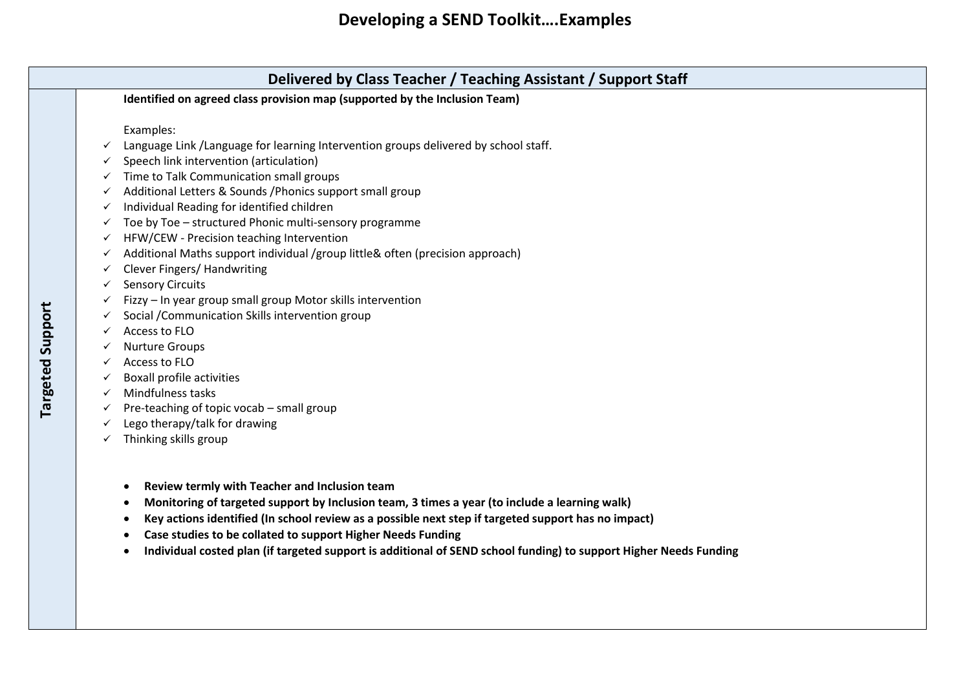# **Developing a SEND Toolkit….Examples**

| Examples:<br>Language Link / Language for learning Intervention groups delivered by school staff.<br>Speech link intervention (articulation)<br>Time to Talk Communication small groups<br>Additional Letters & Sounds / Phonics support small group<br>Individual Reading for identified children<br>Toe by Toe - structured Phonic multi-sensory programme<br>HFW/CEW - Precision teaching Intervention |
|-----------------------------------------------------------------------------------------------------------------------------------------------------------------------------------------------------------------------------------------------------------------------------------------------------------------------------------------------------------------------------------------------------------|
|                                                                                                                                                                                                                                                                                                                                                                                                           |
|                                                                                                                                                                                                                                                                                                                                                                                                           |
|                                                                                                                                                                                                                                                                                                                                                                                                           |
|                                                                                                                                                                                                                                                                                                                                                                                                           |
|                                                                                                                                                                                                                                                                                                                                                                                                           |
|                                                                                                                                                                                                                                                                                                                                                                                                           |
|                                                                                                                                                                                                                                                                                                                                                                                                           |
|                                                                                                                                                                                                                                                                                                                                                                                                           |
| Additional Maths support individual /group little& often (precision approach)                                                                                                                                                                                                                                                                                                                             |
| Clever Fingers/ Handwriting                                                                                                                                                                                                                                                                                                                                                                               |
| <b>Sensory Circuits</b>                                                                                                                                                                                                                                                                                                                                                                                   |
| Fizzy - In year group small group Motor skills intervention                                                                                                                                                                                                                                                                                                                                               |
| Social / Communication Skills intervention group                                                                                                                                                                                                                                                                                                                                                          |
| Access to FLO                                                                                                                                                                                                                                                                                                                                                                                             |
| <b>Nurture Groups</b>                                                                                                                                                                                                                                                                                                                                                                                     |
| Access to FLO                                                                                                                                                                                                                                                                                                                                                                                             |
| <b>Boxall profile activities</b>                                                                                                                                                                                                                                                                                                                                                                          |
| Mindfulness tasks                                                                                                                                                                                                                                                                                                                                                                                         |
| Pre-teaching of topic vocab - small group                                                                                                                                                                                                                                                                                                                                                                 |
| Lego therapy/talk for drawing                                                                                                                                                                                                                                                                                                                                                                             |
| Thinking skills group                                                                                                                                                                                                                                                                                                                                                                                     |

• **Individual costed plan (if targeted support is additional of SEND school funding) to support Higher Needs Funding**